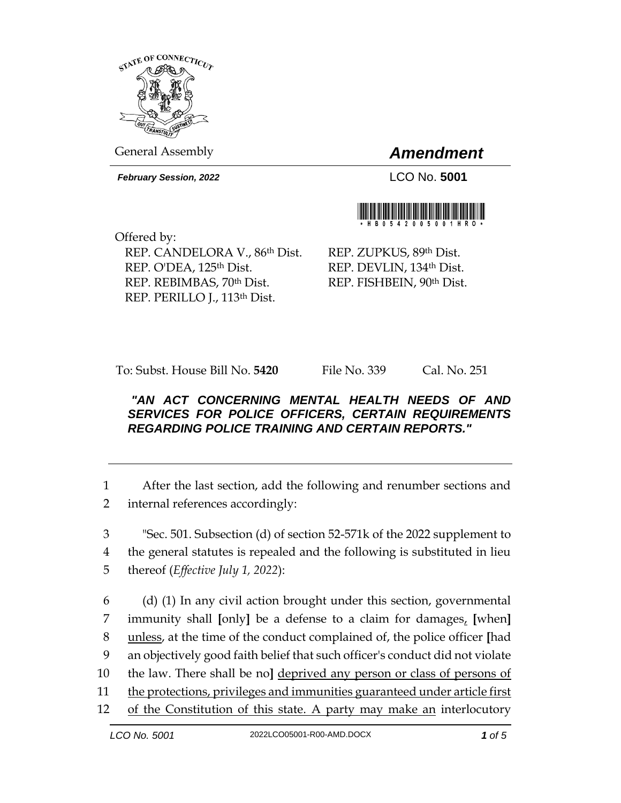

General Assembly *Amendment*

*February Session, 2022* LCO No. **5001**



Offered by: REP. CANDELORA V., 86th Dist. REP. O'DEA, 125<sup>th</sup> Dist. REP. REBIMBAS, 70th Dist. REP. PERILLO J., 113th Dist.

REP. ZUPKUS, 89th Dist. REP. DEVLIN, 134th Dist. REP. FISHBEIN, 90th Dist.

To: Subst. House Bill No. **5420** File No. 339 Cal. No. 251

## *"AN ACT CONCERNING MENTAL HEALTH NEEDS OF AND SERVICES FOR POLICE OFFICERS, CERTAIN REQUIREMENTS REGARDING POLICE TRAINING AND CERTAIN REPORTS."*

1 After the last section, add the following and renumber sections and 2 internal references accordingly:

3 "Sec. 501. Subsection (d) of section 52-571k of the 2022 supplement to 4 the general statutes is repealed and the following is substituted in lieu 5 thereof (*Effective July 1, 2022*):

 (d) (1) In any civil action brought under this section, governmental immunity shall **[**only**]** be a defense to a claim for damages, **[**when**]**  unless, at the time of the conduct complained of, the police officer **[**had an objectively good faith belief that such officer's conduct did not violate the law. There shall be no**]** deprived any person or class of persons of the protections, privileges and immunities guaranteed under article first of the Constitution of this state. A party may make an interlocutory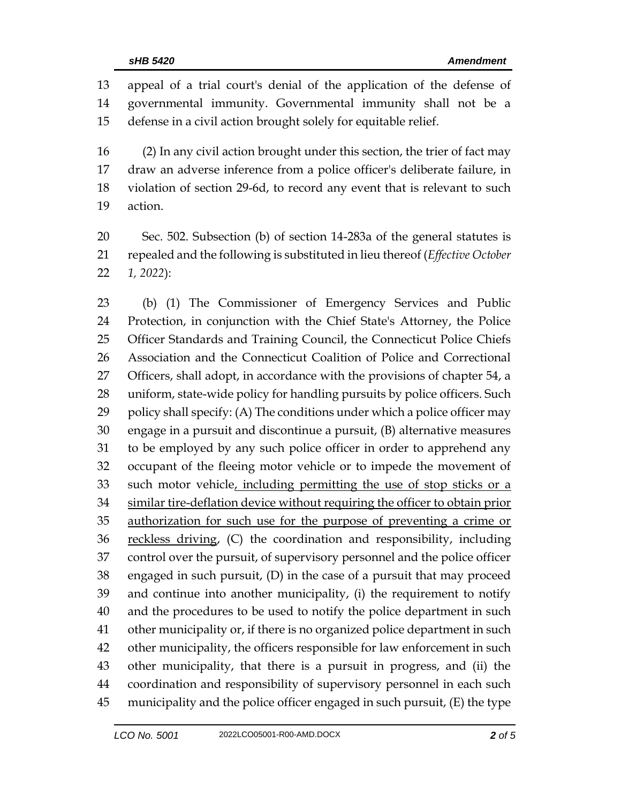appeal of a trial court's denial of the application of the defense of governmental immunity. Governmental immunity shall not be a defense in a civil action brought solely for equitable relief.

 (2) In any civil action brought under this section, the trier of fact may draw an adverse inference from a police officer's deliberate failure, in violation of section 29-6d, to record any event that is relevant to such action.

 Sec. 502. Subsection (b) of section 14-283a of the general statutes is repealed and the following is substituted in lieu thereof (*Effective October 1, 2022*):

 (b) (1) The Commissioner of Emergency Services and Public Protection, in conjunction with the Chief State's Attorney, the Police Officer Standards and Training Council, the Connecticut Police Chiefs Association and the Connecticut Coalition of Police and Correctional Officers, shall adopt, in accordance with the provisions of chapter 54, a uniform, state-wide policy for handling pursuits by police officers. Such policy shall specify: (A) The conditions under which a police officer may engage in a pursuit and discontinue a pursuit, (B) alternative measures to be employed by any such police officer in order to apprehend any occupant of the fleeing motor vehicle or to impede the movement of 33 such motor vehicle, including permitting the use of stop sticks or a similar tire-deflation device without requiring the officer to obtain prior authorization for such use for the purpose of preventing a crime or 36 reckless driving, (C) the coordination and responsibility, including control over the pursuit, of supervisory personnel and the police officer engaged in such pursuit, (D) in the case of a pursuit that may proceed and continue into another municipality, (i) the requirement to notify and the procedures to be used to notify the police department in such other municipality or, if there is no organized police department in such other municipality, the officers responsible for law enforcement in such other municipality, that there is a pursuit in progress, and (ii) the coordination and responsibility of supervisory personnel in each such municipality and the police officer engaged in such pursuit, (E) the type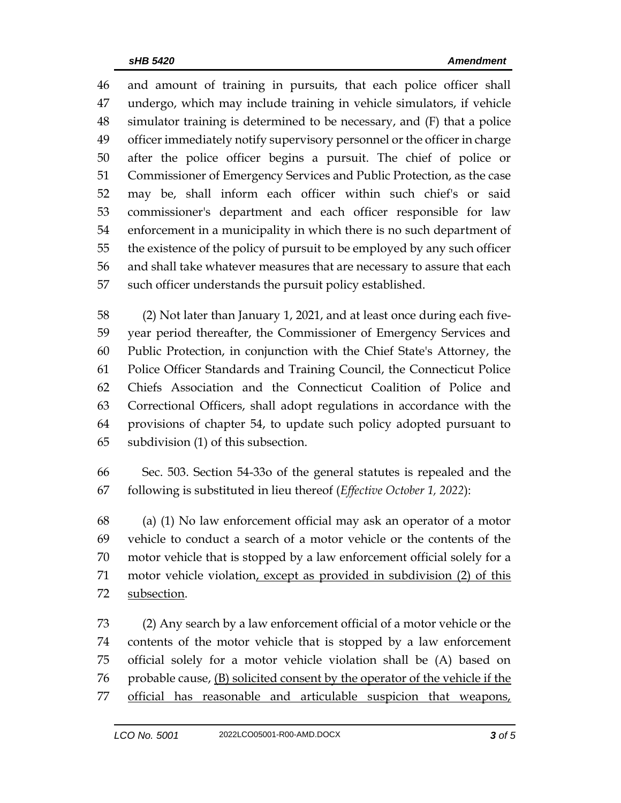and amount of training in pursuits, that each police officer shall undergo, which may include training in vehicle simulators, if vehicle simulator training is determined to be necessary, and (F) that a police officer immediately notify supervisory personnel or the officer in charge after the police officer begins a pursuit. The chief of police or Commissioner of Emergency Services and Public Protection, as the case may be, shall inform each officer within such chief's or said commissioner's department and each officer responsible for law enforcement in a municipality in which there is no such department of the existence of the policy of pursuit to be employed by any such officer and shall take whatever measures that are necessary to assure that each such officer understands the pursuit policy established.

 (2) Not later than January 1, 2021, and at least once during each five- year period thereafter, the Commissioner of Emergency Services and Public Protection, in conjunction with the Chief State's Attorney, the Police Officer Standards and Training Council, the Connecticut Police Chiefs Association and the Connecticut Coalition of Police and Correctional Officers, shall adopt regulations in accordance with the provisions of chapter 54, to update such policy adopted pursuant to subdivision (1) of this subsection.

 Sec. 503. Section 54-33o of the general statutes is repealed and the following is substituted in lieu thereof (*Effective October 1, 2022*):

 (a) (1) No law enforcement official may ask an operator of a motor vehicle to conduct a search of a motor vehicle or the contents of the motor vehicle that is stopped by a law enforcement official solely for a motor vehicle violation, except as provided in subdivision (2) of this subsection.

 (2) Any search by a law enforcement official of a motor vehicle or the contents of the motor vehicle that is stopped by a law enforcement official solely for a motor vehicle violation shall be (A) based on 76 probable cause,  $(B)$  solicited consent by the operator of the vehicle if the 77 official has reasonable and articulable suspicion that weapons,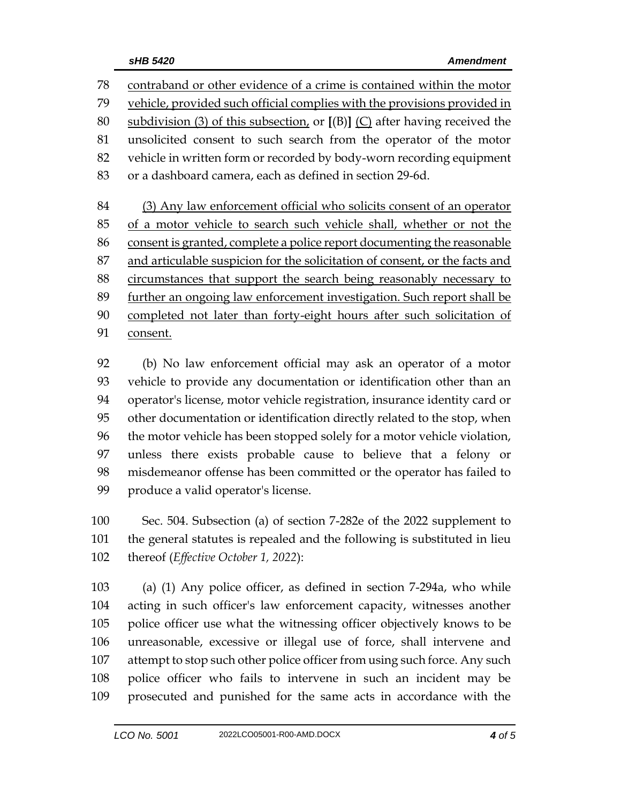contraband or other evidence of a crime is contained within the motor vehicle, provided such official complies with the provisions provided in subdivision (3) of this subsection, or **[**(B)**]** (C) after having received the unsolicited consent to such search from the operator of the motor vehicle in written form or recorded by body-worn recording equipment or a dashboard camera, each as defined in section 29-6d.

 (3) Any law enforcement official who solicits consent of an operator of a motor vehicle to search such vehicle shall, whether or not the consent is granted, complete a police report documenting the reasonable 87 and articulable suspicion for the solicitation of consent, or the facts and circumstances that support the search being reasonably necessary to further an ongoing law enforcement investigation. Such report shall be completed not later than forty-eight hours after such solicitation of consent.

 (b) No law enforcement official may ask an operator of a motor vehicle to provide any documentation or identification other than an operator's license, motor vehicle registration, insurance identity card or other documentation or identification directly related to the stop, when the motor vehicle has been stopped solely for a motor vehicle violation, unless there exists probable cause to believe that a felony or misdemeanor offense has been committed or the operator has failed to produce a valid operator's license.

 Sec. 504. Subsection (a) of section 7-282e of the 2022 supplement to the general statutes is repealed and the following is substituted in lieu thereof (*Effective October 1, 2022*):

 (a) (1) Any police officer, as defined in section 7-294a, who while acting in such officer's law enforcement capacity, witnesses another police officer use what the witnessing officer objectively knows to be unreasonable, excessive or illegal use of force, shall intervene and 107 attempt to stop such other police officer from using such force. Any such police officer who fails to intervene in such an incident may be prosecuted and punished for the same acts in accordance with the